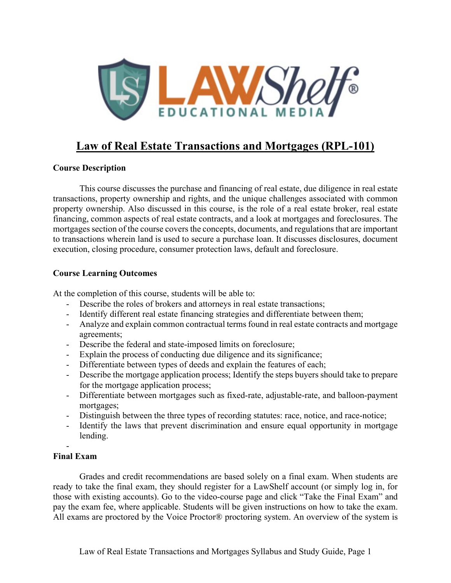

# **Law of Real Estate Transactions and Mortgages (RPL-101)**

## **Course Description**

This course discusses the purchase and financing of real estate, due diligence in real estate transactions, property ownership and rights, and the unique challenges associated with common property ownership. Also discussed in this course, is the role of a real estate broker, real estate financing, common aspects of real estate contracts, and a look at mortgages and foreclosures. The mortgages section of the course covers the concepts, documents, and regulations that are important to transactions wherein land is used to secure a purchase loan. It discusses disclosures, document execution, closing procedure, consumer protection laws, default and foreclosure.

## **Course Learning Outcomes**

At the completion of this course, students will be able to:

- Describe the roles of brokers and attorneys in real estate transactions;
- Identify different real estate financing strategies and differentiate between them;
- Analyze and explain common contractual terms found in real estate contracts and mortgage agreements;
- Describe the federal and state-imposed limits on foreclosure;
- Explain the process of conducting due diligence and its significance;
- Differentiate between types of deeds and explain the features of each;
- Describe the mortgage application process; Identify the steps buyers should take to prepare for the mortgage application process;
- Differentiate between mortgages such as fixed-rate, adjustable-rate, and balloon-payment mortgages;
- Distinguish between the three types of recording statutes: race, notice, and race-notice;
- Identify the laws that prevent discrimination and ensure equal opportunity in mortgage lending.

#### - **Final Exam**

Grades and credit recommendations are based solely on a final exam. When students are ready to take the final exam, they should register for a LawShelf account (or simply log in, for those with existing accounts). Go to the video-course page and click "Take the Final Exam" and pay the exam fee, where applicable. Students will be given instructions on how to take the exam. All exams are proctored by the Voice Proctor® proctoring system. An overview of the system is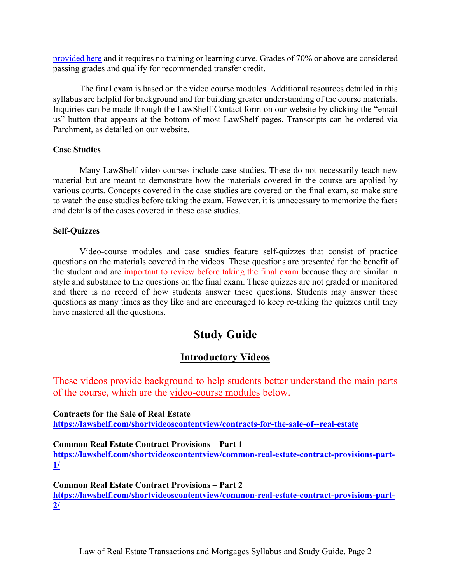[provided](https://lawshelf.com/voiceproctorvideo) here and it requires no training or learning curve. Grades of 70% or above are considered passing grades and qualify for recommended transfer credit.

The final exam is based on the video course modules. Additional resources detailed in this syllabus are helpful for background and for building greater understanding of the course materials. Inquiries can be made through the LawShelf Contact form on our website by clicking the "email us" button that appears at the bottom of most LawShelf pages. Transcripts can be ordered via Parchment, as detailed on our website.

### **Case Studies**

Many LawShelf video courses include case studies. These do not necessarily teach new material but are meant to demonstrate how the materials covered in the course are applied by various courts. Concepts covered in the case studies are covered on the final exam, so make sure to watch the case studies before taking the exam. However, it is unnecessary to memorize the facts and details of the cases covered in these case studies.

### **Self-Quizzes**

Video-course modules and case studies feature self-quizzes that consist of practice questions on the materials covered in the videos. These questions are presented for the benefit of the student and are important to review before taking the final exam because they are similar in style and substance to the questions on the final exam. These quizzes are not graded or monitored and there is no record of how students answer these questions. Students may answer these questions as many times as they like and are encouraged to keep re-taking the quizzes until they have mastered all the questions.

# **Study Guide**

# **Introductory Videos**

These videos provide background to help students better understand the main parts of the course, which are the video-course modules below.

**Contracts for the Sale of Real Estate <https://lawshelf.com/shortvideoscontentview/contracts-for-the-sale-of--real-estate>**

#### **Common Real Estate Contract Provisions – Part 1**

**[https://lawshelf.com/shortvideoscontentview/common-real-estate-contract-provisions-part-](https://lawshelf.com/shortvideoscontentview/common-real-estate-contract-provisions-part-1/)[1/](https://lawshelf.com/shortvideoscontentview/common-real-estate-contract-provisions-part-1/)**

**Common Real Estate Contract Provisions – Part 2 [https://lawshelf.com/shortvideoscontentview/common-real-estate-contract-provisions-part-](https://lawshelf.com/shortvideoscontentview/common-real-estate-contract-provisions-part-2/)[2/](https://lawshelf.com/shortvideoscontentview/common-real-estate-contract-provisions-part-2/)**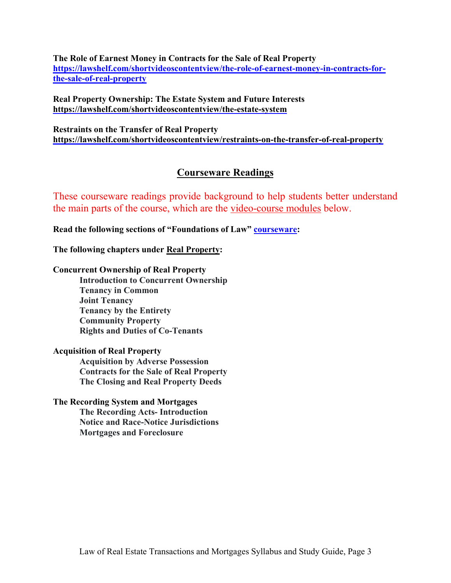**The Role of Earnest Money in Contracts for the Sale of Real Property [https://lawshelf.com/shortvideoscontentview/the-role-of-earnest-money-in-contracts-for](https://lawshelf.com/shortvideoscontentview/the-role-of-earnest-money-in-contracts-for-the-sale-of-real-property)[the-sale-of-real-property](https://lawshelf.com/shortvideoscontentview/the-role-of-earnest-money-in-contracts-for-the-sale-of-real-property)**

**Real Property Ownership: The Estate System and Future Interests <https://lawshelf.com/shortvideoscontentview/the-estate-system>**

**Restraints on the Transfer of Real Property <https://lawshelf.com/shortvideoscontentview/restraints-on-the-transfer-of-real-property>**

## **Courseware Readings**

These courseware readings provide background to help students better understand the main parts of the course, which are the video-course modules below.

**Read the following sections of "Foundations of Law" [courseware:](https://lawshelf.com/coursewareview)**

**The following chapters under Real Property:**

#### **Concurrent Ownership of Real Property**

**Introduction to Concurrent Ownership Tenancy in Common Joint Tenancy Tenancy by the Entirety Community Property Rights and Duties of Co-Tenants**

#### **Acquisition of Real Property**

**Acquisition by Adverse Possession Contracts for the Sale of Real Property The Closing and Real Property Deeds**

## **The Recording System and Mortgages**

**The Recording Acts- Introduction Notice and Race-Notice Jurisdictions Mortgages and Foreclosure**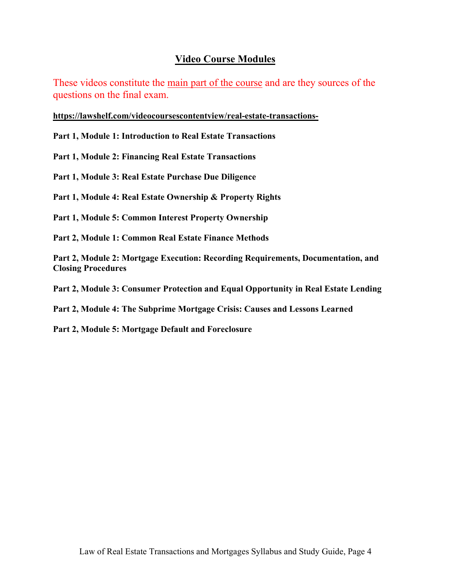## **Video Course Modules**

These videos constitute the main part of the course and are they sources of the questions on the final exam.

**<https://lawshelf.com/videocoursescontentview/real-estate-transactions->**

**Part 1, Module 1: Introduction to Real Estate Transactions**

**Part 1, Module 2: Financing Real Estate Transactions**

**Part 1, Module 3: Real Estate Purchase Due Diligence**

**Part 1, Module 4: Real Estate Ownership & Property Rights**

**Part 1, Module 5: Common Interest Property Ownership**

**Part 2, Module 1: Common Real Estate Finance Methods**

**Part 2, Module 2: Mortgage Execution: Recording Requirements, Documentation, and Closing Procedures**

**Part 2, Module 3: Consumer Protection and Equal Opportunity in Real Estate Lending**

**Part 2, Module 4: The Subprime Mortgage Crisis: Causes and Lessons Learned**

**Part 2, Module 5: Mortgage Default and Foreclosure**